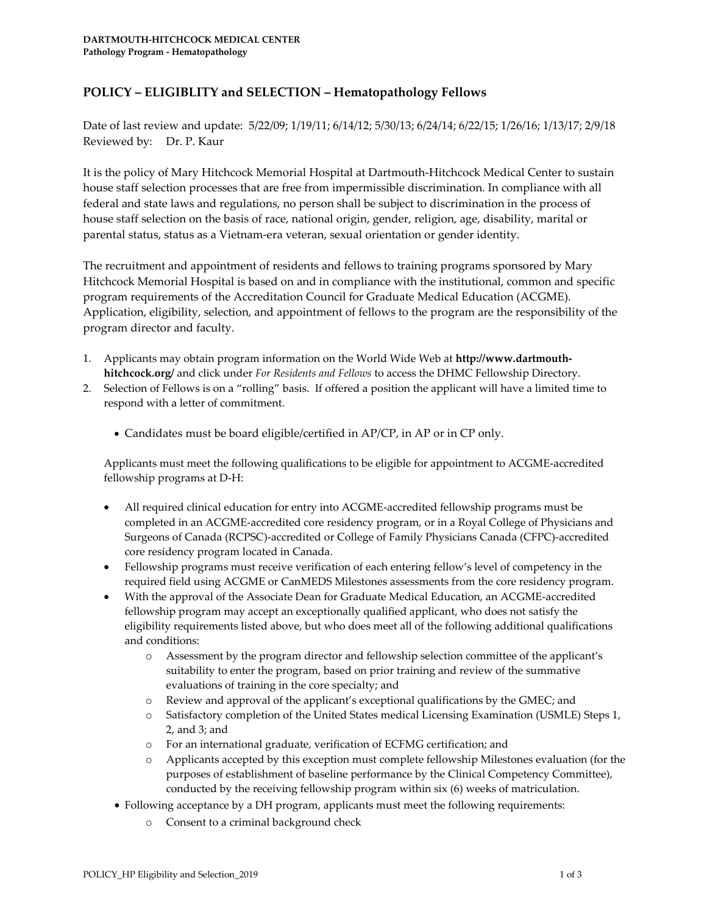## **POLICY – ELIGIBLITY and SELECTION – Hematopathology Fellows**

Date of last review and update: 5/22/09; 1/19/11; 6/14/12; 5/30/13; 6/24/14; 6/22/15; 1/26/16; 1/13/17; 2/9/18 Reviewed by: Dr. P. Kaur

It is the policy of Mary Hitchcock Memorial Hospital at Dartmouth-Hitchcock Medical Center to sustain house staff selection processes that are free from impermissible discrimination. In compliance with all federal and state laws and regulations, no person shall be subject to discrimination in the process of house staff selection on the basis of race, national origin, gender, religion, age, disability, marital or parental status, status as a Vietnam-era veteran, sexual orientation or gender identity.

The recruitment and appointment of residents and fellows to training programs sponsored by Mary Hitchcock Memorial Hospital is based on and in compliance with the institutional, common and specific program requirements of the Accreditation Council for Graduate Medical Education (ACGME). Application, eligibility, selection, and appointment of fellows to the program are the responsibility of the program director and faculty.

- 1. Applicants may obtain program information on the World Wide Web at **http://www.dartmouthhitchcock.org/** and click under *For Residents and Fellows* to access the DHMC Fellowship Directory.
- 2. Selection of Fellows is on a "rolling" basis. If offered a position the applicant will have a limited time to respond with a letter of commitment.
	- Candidates must be board eligible/certified in AP/CP, in AP or in CP only.

Applicants must meet the following qualifications to be eligible for appointment to ACGME-accredited fellowship programs at D-H:

- All required clinical education for entry into ACGME-accredited fellowship programs must be completed in an ACGME-accredited core residency program, or in a Royal College of Physicians and Surgeons of Canada (RCPSC)-accredited or College of Family Physicians Canada (CFPC)-accredited core residency program located in Canada.
- Fellowship programs must receive verification of each entering fellow's level of competency in the required field using ACGME or CanMEDS Milestones assessments from the core residency program.
- With the approval of the Associate Dean for Graduate Medical Education, an ACGME-accredited fellowship program may accept an exceptionally qualified applicant, who does not satisfy the eligibility requirements listed above, but who does meet all of the following additional qualifications and conditions:
	- o Assessment by the program director and fellowship selection committee of the applicant's suitability to enter the program, based on prior training and review of the summative evaluations of training in the core specialty; and
	- o Review and approval of the applicant's exceptional qualifications by the GMEC; and
	- o Satisfactory completion of the United States medical Licensing Examination (USMLE) Steps 1, 2, and 3; and
	- o For an international graduate, verification of ECFMG certification; and
	- o Applicants accepted by this exception must complete fellowship Milestones evaluation (for the purposes of establishment of baseline performance by the Clinical Competency Committee), conducted by the receiving fellowship program within six (6) weeks of matriculation.
	- Following acceptance by a DH program, applicants must meet the following requirements:
		- o Consent to a criminal background check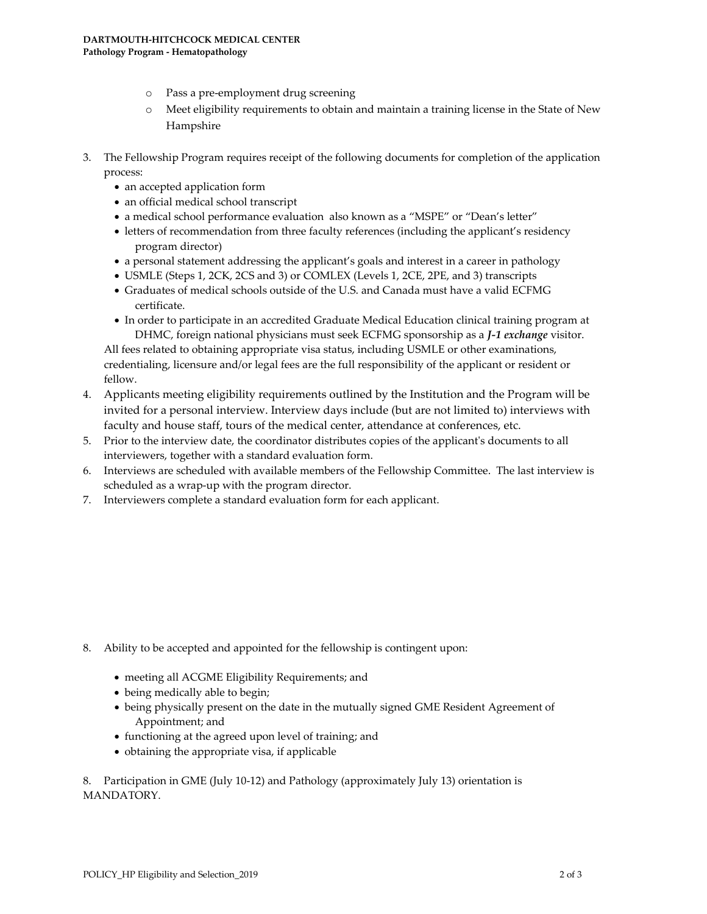- o Pass a pre-employment drug screening
- o Meet eligibility requirements to obtain and maintain a training license in the State of New Hampshire
- 3. The Fellowship Program requires receipt of the following documents for completion of the application process:
	- an accepted application form
	- an official medical school transcript
	- a medical school performance evaluation also known as a "MSPE" or "Dean's letter"
	- letters of recommendation from three faculty references (including the applicant's residency program director)
	- a personal statement addressing the applicant's goals and interest in a career in pathology
	- USMLE (Steps 1, 2CK, 2CS and 3) or COMLEX (Levels 1, 2CE, 2PE, and 3) transcripts
	- Graduates of medical schools outside of the U.S. and Canada must have a valid ECFMG certificate.
	- In order to participate in an accredited Graduate Medical Education clinical training program at DHMC, foreign national physicians must seek ECFMG sponsorship as a *J-1 exchange* visitor.

All fees related to obtaining appropriate visa status, including USMLE or other examinations, credentialing, licensure and/or legal fees are the full responsibility of the applicant or resident or fellow.

- 4. Applicants meeting eligibility requirements outlined by the Institution and the Program will be invited for a personal interview. Interview days include (but are not limited to) interviews with faculty and house staff, tours of the medical center, attendance at conferences, etc.
- 5. Prior to the interview date, the coordinator distributes copies of the applicant's documents to all interviewers, together with a standard evaluation form.
- 6. Interviews are scheduled with available members of the Fellowship Committee. The last interview is scheduled as a wrap-up with the program director.
- 7. Interviewers complete a standard evaluation form for each applicant.

- 8. Ability to be accepted and appointed for the fellowship is contingent upon:
	- meeting all ACGME Eligibility Requirements; and
	- being medically able to begin;
	- being physically present on the date in the mutually signed GME Resident Agreement of Appointment; and
	- functioning at the agreed upon level of training; and
	- obtaining the appropriate visa, if applicable

8. Participation in GME (July 10-12) and Pathology (approximately July 13) orientation is MANDATORY.